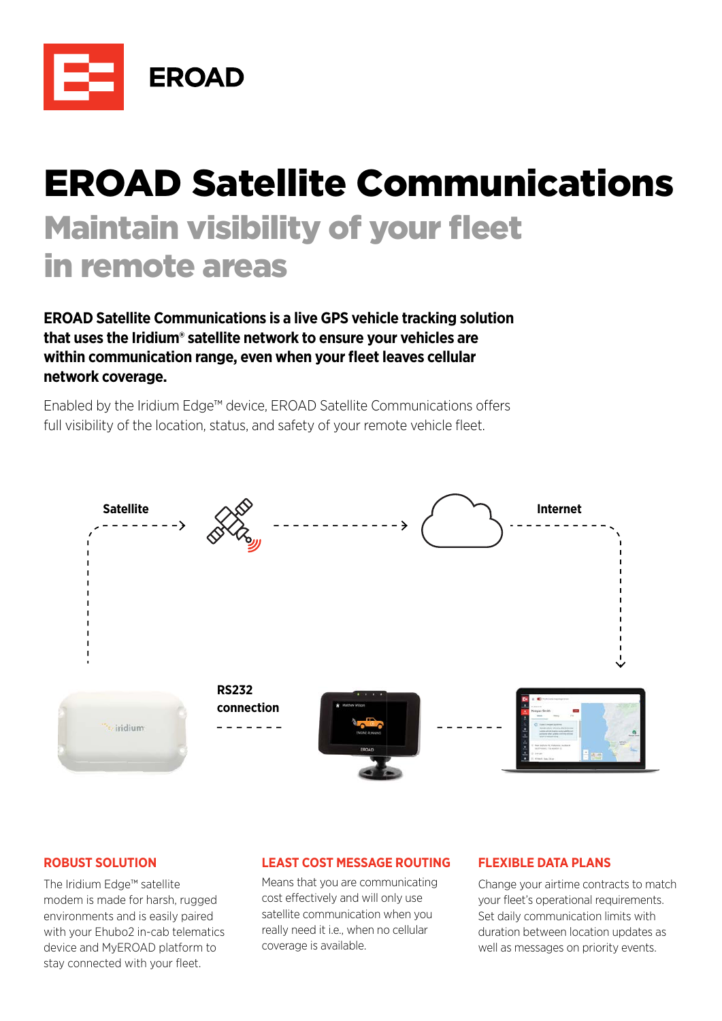

# EROAD Satellite Communications **Maintain visibility of your fleet** in remote areas

**EROAD Satellite Communications is a live GPS vehicle tracking solution that uses the Iridium® satellite network to ensure your vehicles are**  within communication range, even when your fleet leaves cellular **network coverage.** 

Enabled by the Iridium Edge™ device, EROAD Satellite Communications offers full visibility of the location, status, and safety of your remote vehicle fleet.



# **ROBUST SOLUTION**

The Iridium Edge™ satellite modem is made for harsh, rugged environments and is easily paired with your Ehubo2 in-cab telematics device and MyEROAD platform to stay connected with your fleet.

# **LEAST COST MESSAGE ROUTING**

Means that you are communicating cost effectively and will only use satellite communication when you really need it i.e., when no cellular coverage is available.

# **FLEXIBLE DATA PLANS**

Change your airtime contracts to match your fleet's operational requirements. Set daily communication limits with duration between location updates as well as messages on priority events.